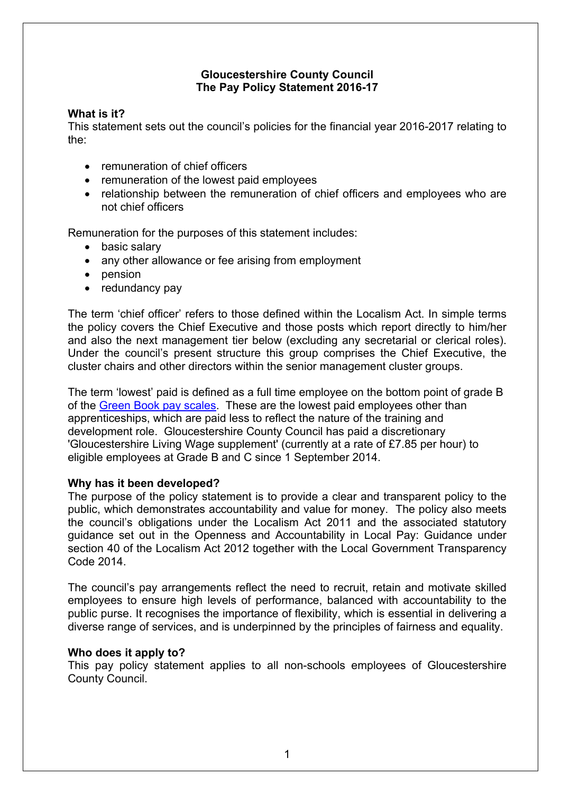# **Gloucestershire County Council The Pay Policy Statement 2016-17**

## **What is it?**

This statement sets out the council's policies for the financial year 2016-2017 relating to the:

- remuneration of chief officers
- remuneration of the lowest paid employees
- relationship between the remuneration of chief officers and employees who are not chief officers

Remuneration for the purposes of this statement includes:

- basic salary
- any other allowance or fee arising from employment
- pension
- $\bullet$  redundancy pay

The term 'chief officer' refers to those defined within the Localism Act. In simple terms the policy covers the Chief Executive and those posts which report directly to him/her and also the next management tier below (excluding any secretarial or clerical roles). Under the council's present structure this group comprises the Chief Executive, the cluster chairs and other directors within the senior management cluster groups.

The term 'lowest' paid is defined as a full time employee on the bottom point of grade B of the Green Book pay [scales](http://www.gloucestershire.gov.uk/CHttpHandler.ashx?id=51219&p=0). These are the lowest paid employees other than apprenticeships, which are paid less to reflect the nature of the training and development role. Gloucestershire County Council has paid a discretionary 'Gloucestershire Living Wage supplement' (currently at a rate of £7.85 per hour) to eligible employees at Grade B and C since 1 September 2014.

## **Why has it been developed?**

The purpose of the policy statement is to provide a clear and transparent policy to the public, which demonstrates accountability and value for money. The policy also meets the council's obligations under the Localism Act 2011 and the associated statutory guidance set out in the Openness and Accountability in Local Pay: Guidance under section 40 of the Localism Act 2012 together with the Local Government Transparency Code 2014.

The council's pay arrangements reflect the need to recruit, retain and motivate skilled employees to ensure high levels of performance, balanced with accountability to the public purse. It recognises the importance of flexibility, which is essential in delivering a diverse range of services, and is underpinned by the principles of fairness and equality.

#### **Who does it apply to?**

This pay policy statement applies to all non-schools employees of Gloucestershire County Council.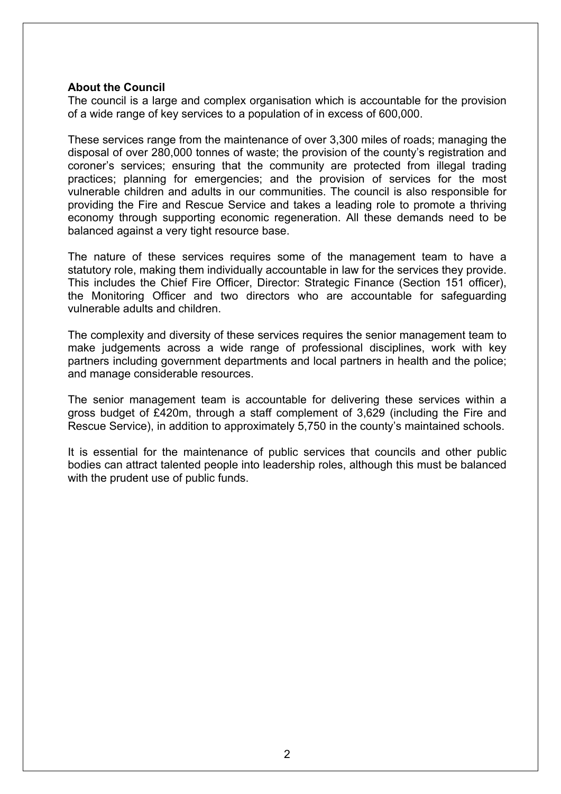#### **About the Council**

The council is a large and complex organisation which is accountable for the provision of a wide range of key services to a population of in excess of 600,000.

These services range from the maintenance of over 3,300 miles of roads; managing the disposal of over 280,000 tonnes of waste; the provision of the county's registration and coroner's services; ensuring that the community are protected from illegal trading practices; planning for emergencies; and the provision of services for the most vulnerable children and adults in our communities. The council is also responsible for providing the Fire and Rescue Service and takes a leading role to promote a thriving economy through supporting economic regeneration. All these demands need to be balanced against a very tight resource base.

The nature of these services requires some of the management team to have a statutory role, making them individually accountable in law for the services they provide. This includes the Chief Fire Officer, Director: Strategic Finance (Section 151 officer), the Monitoring Officer and two directors who are accountable for safeguarding vulnerable adults and children.

The complexity and diversity of these services requires the senior management team to make judgements across a wide range of professional disciplines, work with key partners including government departments and local partners in health and the police; and manage considerable resources.

The senior management team is accountable for delivering these services within a gross budget of £420m, through a staff complement of 3,629 (including the Fire and Rescue Service), in addition to [approximately](mailto:@6,000) 5,750 in the county's maintained schools.

It is essential for the maintenance of public services that councils and other public bodies can attract talented people into leadership roles, although this must be balanced with the prudent use of public funds.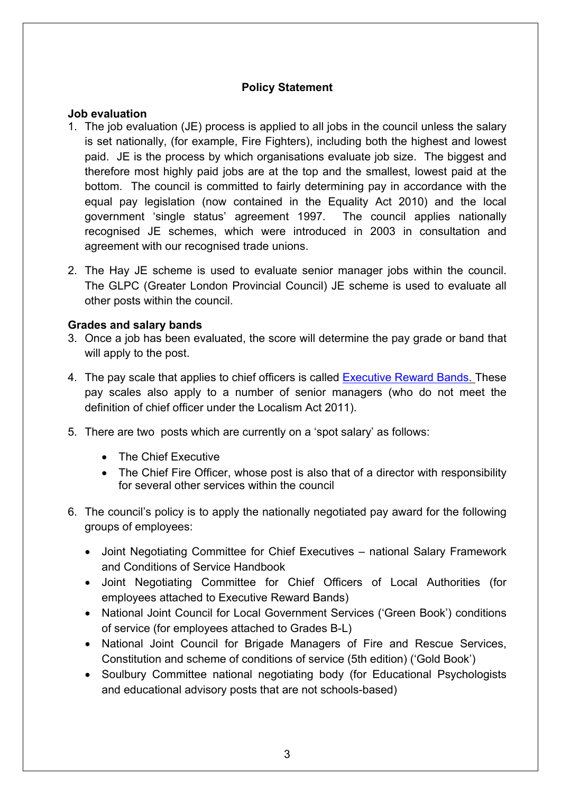# **Policy Statement**

### **Job evaluation**

- 1. The job evaluation (JE) process is applied to all jobs in the council unless the salary is set nationally, (for example, Fire Fighters), including both the highest and lowest paid. JE is the process by which organisations evaluate job size. The biggest and therefore most highly paid jobs are at the top and the smallest, lowest paid at the bottom. The council is committed to fairly determining pay in accordance with the equal pay legislation (now contained in the Equality Act 2010) and the local government 'single status' agreement 1997. The council applies nationally recognised JE schemes, which were introduced in 2003 in consultation and agreement with our recognised trade unions.
- 2. The Hay JE scheme is used to evaluate senior manager jobs within the council. The GLPC (Greater London Provincial Council) JE scheme is used to evaluate all other posts within the council.

## **Grades and salary bands**

- 3. Once a job has been evaluated, the score will determine the pay grade or band that will apply to the post.
- 4. The pay scale that applies to chief officers is called [Executive](http://www.gloucestershire.gov.uk/article/108526/Pay-Policy-Statement) Reward Bands. These pay scales also apply to a number of senior managers (who do not meet the definition of chief officer under the Localism Act 2011).
- 5. There are two posts which are currently on a 'spot salary' as follows:
	- The Chief Executive
	- The Chief Fire Officer, whose post is also that of a director with responsibility for several other services within the council
- 6. The council's policy is to apply the nationally negotiated pay award for the following groups of employees:
	- Joint Negotiating Committee for Chief Executives national Salary Framework and Conditions of Service Handbook
	- Joint Negotiating Committee for Chief Officers of Local Authorities (for employees attached to Executive Reward Bands)
	- National Joint Council for Local Government Services ('Green Book') conditions of service (for employees attached to Grades B-L)
	- National Joint Council for Brigade Managers of Fire and Rescue Services, Constitution and scheme of conditions of service (5th edition) ('Gold Book')
	- Soulbury Committee national negotiating body (for Educational Psychologists and educational advisory posts that are not schools-based)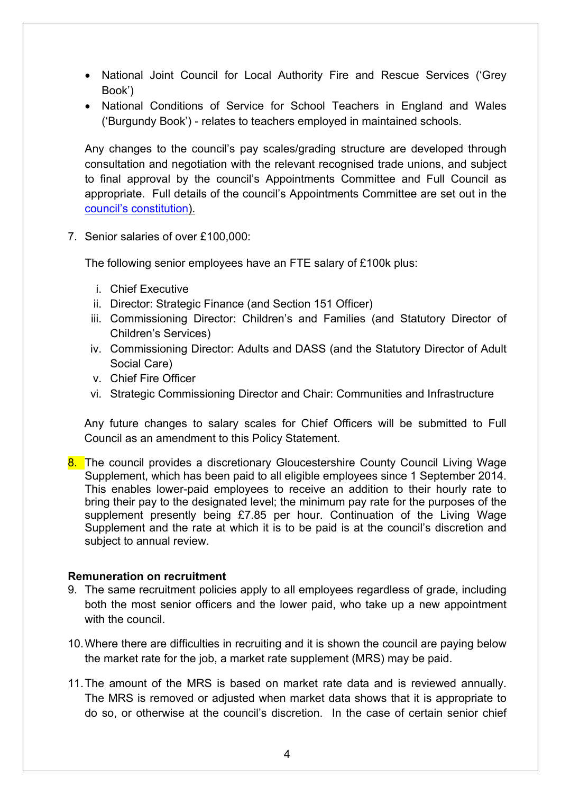- National Joint Council for Local Authority Fire and Rescue Services ('Grey Book')
- National Conditions of Service for School Teachers in England and Wales ('Burgundy Book') - relates to teachers employed in maintained schools.

Any changes to the council's pay scales/grading structure are developed through consultation and negotiation with the relevant recognised trade unions, and subject to final approval by the council's Appointments Committee and Full Council as appropriate. Full details of the council's Appointments Committee are set out in the council's [constitution](http://glostext.gloucestershire.gov.uk/ecSDDisplay.aspx?NAME=SD163&ID=163&RPID=19096542&sch=doc&cat=13295&path=13295)).

7. Senior salaries of over £100,000:

The following senior employees have an FTE salary of £100k plus:

- i. Chief Executive
- ii. Director: Strategic Finance (and Section 151 Officer)
- iii. Commissioning Director: Children's and Families (and Statutory Director of Children's Services)
- iv. Commissioning Director: Adults and DASS (and the Statutory Director of Adult Social Care)
- v. Chief Fire Officer
- vi. Strategic Commissioning Director and Chair: Communities and Infrastructure

Any future changes to salary scales for Chief Officers will be submitted to Full Council as an amendment to this Policy Statement.

8. The council provides a discretionary Gloucestershire County Council Living Wage Supplement, which has been paid to all eligible employees since 1 September 2014. This enables lower-paid employees to receive an addition to their hourly rate to bring their pay to the designated level; the minimum pay rate for the purposes of the supplement presently being £7.85 per hour. Continuation of the Living Wage Supplement and the rate at which it is to be paid is at the council's discretion and subject to annual review.

#### **Remuneration on recruitment**

- 9. The same recruitment policies apply to all employees regardless of grade, including both the most senior officers and the lower paid, who take up a new appointment with the council.
- 10.Where there are difficulties in recruiting and it is shown the council are paying below the market rate for the job, a market rate supplement (MRS) may be paid.
- 11.The amount of the MRS is based on market rate data and is reviewed annually. The MRS is removed or adjusted when market data shows that it is appropriate to do so, or otherwise at the council's discretion. In the case of certain senior chief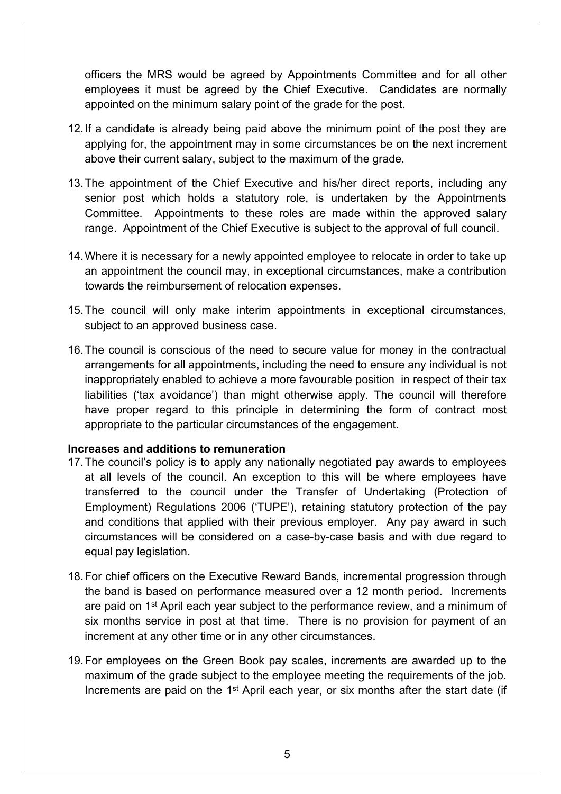officers the MRS would be agreed by Appointments Committee and for all other employees it must be agreed by the Chief Executive. Candidates are normally appointed on the minimum salary point of the grade for the post.

- 12.If a candidate is already being paid above the minimum point of the post they are applying for, the appointment may in some circumstances be on the next increment above their current salary, subject to the maximum of the grade.
- 13.The appointment of the Chief Executive and his/her direct reports, including any senior post which holds a statutory role, is undertaken by the Appointments Committee. Appointments to these roles are made within the approved salary range. Appointment of the Chief Executive is subject to the approval of full council.
- 14.Where it is necessary for a newly appointed employee to relocate in order to take up an appointment the council may, in exceptional circumstances, make a contribution towards the reimbursement of relocation expenses.
- 15.The council will only make interim appointments in exceptional circumstances, subject to an approved business case.
- 16.The council is conscious of the need to secure value for money in the contractual arrangements for all appointments, including the need to ensure any individual is not inappropriately enabled to achieve a more favourable position in respect of their tax liabilities ('tax avoidance') than might otherwise apply. The council will therefore have proper regard to this principle in determining the form of contract most appropriate to the particular circumstances of the engagement.

## **Increases and additions to remuneration**

- 17.The council's policy is to apply any nationally negotiated pay awards to employees at all levels of the council. An exception to this will be where employees have transferred to the council under the Transfer of Undertaking (Protection of Employment) Regulations 2006 ('TUPE'), retaining statutory protection of the pay and conditions that applied with their previous employer. Any pay award in such circumstances will be considered on a case-by-case basis and with due regard to equal pay legislation.
- 18.For chief officers on the Executive Reward Bands, incremental progression through the band is based on performance measured over a 12 month period. Increments are paid on 1<sup>st</sup> April each year subject to the performance review, and a minimum of six months service in post at that time. There is no provision for payment of an increment at any other time or in any other circumstances.
- 19.For employees on the Green Book pay scales, increments are awarded up to the maximum of the grade subject to the employee meeting the requirements of the job. Increments are paid on the 1<sup>st</sup> April each year, or six months after the start date (if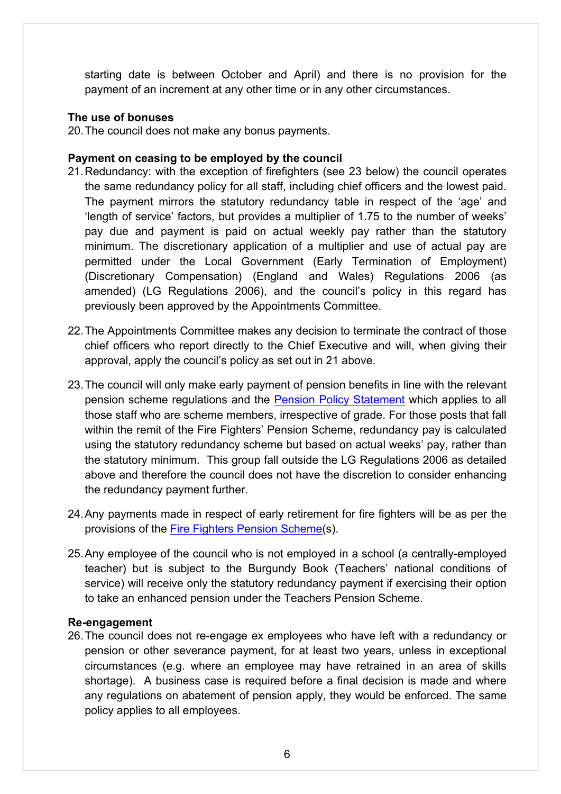starting date is between October and April) and there is no provision for the payment of an increment at any other time or in any other circumstances.

#### **The use of bonuses**

20.The council does not make any bonus payments.

#### **Payment on ceasing to be employed by the council**

- 21.Redundancy: with the exception of firefighters (see 23 below) the council operates the same redundancy policy for all staff, including chief officers and the lowest paid. The payment mirrors the statutory redundancy table in respect of the 'age' and 'length of service' factors, but provides a multiplier of 1.75 to the number of weeks' pay due and payment is paid on actual weekly pay rather than the statutory minimum. The discretionary application of a multiplier and use of actual pay are permitted under the Local Government (Early Termination of Employment) (Discretionary Compensation) (England and Wales) Regulations 2006 (as amended) (LG Regulations 2006), and the council's policy in this regard has previously been approved by the Appointments Committee.
- 22.The Appointments Committee makes any decision to terminate the contract of those chief officers who report directly to the Chief Executive and will, when giving their approval, apply the council's policy as set out in 21 above.
- 23.The council will only make early payment of pension benefits in line with the relevant pension scheme regulations and the Pension Policy [Statement](http://www.gloucestershire.gov.uk/article/108526/Pay-Policy-Statement) which applies to all those staff who are scheme members, irrespective of grade. For those posts that fall within the remit of the Fire Fighters' Pension Scheme, redundancy pay is calculated using the statutory redundancy scheme but based on actual weeks' pay, rather than the statutory minimum. This group fall outside the LG Regulations 2006 as detailed above and therefore the council does not have the discretion to consider enhancing the redundancy payment further.
- 24.Any payments made in respect of early retirement for fire fighters will be as per the provisions of the Fire Fighters Pension [Scheme](http://www.communities.gov.uk/fire/firerescueservice/firefighterpensions/)(s).
- 25.Any employee of the council who is not employed in a school (a centrally-employed teacher) but is subject to the Burgundy Book (Teachers' national conditions of service) will receive only the statutory redundancy payment if exercising their option to take an enhanced pension under the Teachers Pension Scheme.

## **Re-engagement**

26.The council does not re-engage ex employees who have left with a redundancy or pension or other severance payment, for at least two years, unless in exceptional circumstances (e.g. where an employee may have retrained in an area of skills shortage). A business case is required before a final decision is made and where any regulations on abatement of pension apply, they would be enforced. The same policy applies to all employees.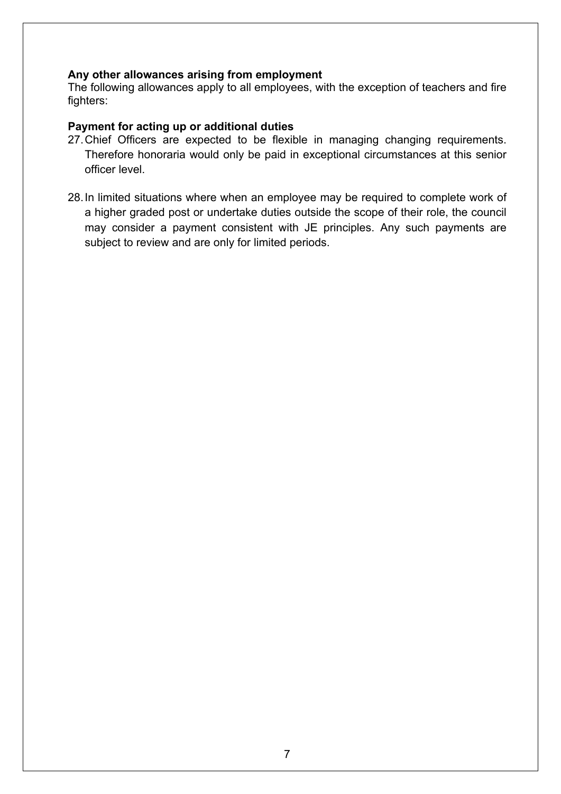## **Any other allowances arising from employment**

The following allowances apply to all employees, with the exception of teachers and fire fighters:

### **Payment for acting up or additional duties**

- 27.Chief Officers are expected to be flexible in managing changing requirements. Therefore honoraria would only be paid in exceptional circumstances at this senior officer level.
- 28.In limited situations where when an employee may be required to complete work of a higher graded post or undertake duties outside the scope of their role, the council may consider a payment consistent with JE principles. Any such payments are subject to review and are only for limited periods.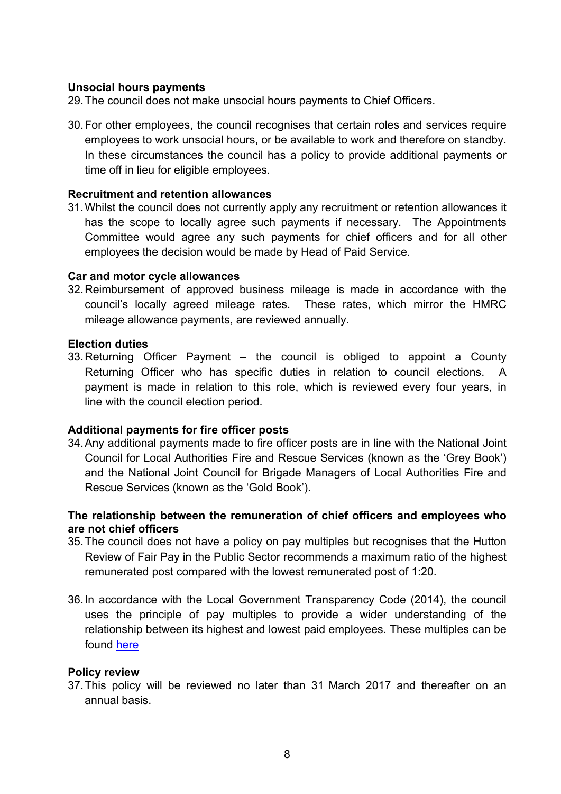#### **Unsocial hours payments**

29.The council does not make unsocial hours payments to Chief Officers.

30.For other employees, the council recognises that certain roles and services require employees to work unsocial hours, or be available to work and therefore on standby. In these circumstances the council has a policy to provide additional payments or time off in lieu for eligible employees.

### **Recruitment and retention allowances**

31.Whilst the council does not currently apply any recruitment or retention allowances it has the scope to locally agree such payments if necessary. The Appointments Committee would agree any such payments for chief officers and for all other employees the decision would be made by Head of Paid Service.

#### **Car and motor cycle allowances**

32.Reimbursement of approved business mileage is made in accordance with the council's locally agreed mileage rates. These rates, which mirror the HMRC mileage allowance payments, are reviewed annually.

#### **Election duties**

33.Returning Officer Payment – the council is obliged to appoint a County Returning Officer who has specific duties in relation to council elections. payment is made in relation to this role, which is reviewed every four years, in line with the council election period.

## **Additional payments for fire officer posts**

34.Any additional payments made to fire officer posts are in line with the National Joint Council for Local Authorities Fire and Rescue Services (known as the 'Grey Book') and the National Joint Council for Brigade Managers of Local Authorities Fire and Rescue Services (known as the 'Gold Book').

# **The relationship between the remuneration of chief officers and employees who are not chief officers**

- 35.The council does not have a policy on pay multiples but recognises that the Hutton Review of Fair Pay in the Public Sector recommends a maximum ratio of the highest remunerated post compared with the lowest remunerated post of 1:20.
- 36.In accordance with the Local Government Transparency Code (2014), the council uses the principle of pay multiples to provide a wider understanding of the relationship between its highest and lowest paid employees. These multiples can be found [here](http://www.gloucestershire.gov.uk/article/108525/Gloucestershire-County-Councils-Pay-Multiples-20122013)

## **Policy review**

37.This policy will be reviewed no later than 31 March 2017 and thereafter on an annual basis.